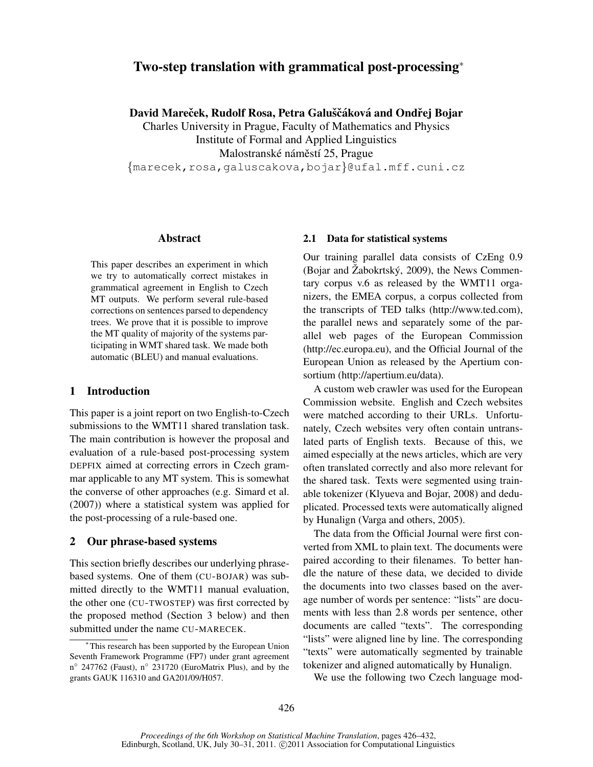# Two-step translation with grammatical post-processing<sup>∗</sup>

David Mareček, Rudolf Rosa, Petra Galuščáková and Ondřej Bojar

Charles University in Prague, Faculty of Mathematics and Physics Institute of Formal and Applied Linguistics Malostranské náměstí 25, Prague

{marecek,rosa,galuscakova,bojar}@ufal.mff.cuni.cz

# Abstract

This paper describes an experiment in which we try to automatically correct mistakes in grammatical agreement in English to Czech MT outputs. We perform several rule-based corrections on sentences parsed to dependency trees. We prove that it is possible to improve the MT quality of majority of the systems participating in WMT shared task. We made both automatic (BLEU) and manual evaluations.

### 1 Introduction

This paper is a joint report on two English-to-Czech submissions to the WMT11 shared translation task. The main contribution is however the proposal and evaluation of a rule-based post-processing system DEPFIX aimed at correcting errors in Czech grammar applicable to any MT system. This is somewhat the converse of other approaches (e.g. Simard et al. (2007)) where a statistical system was applied for the post-processing of a rule-based one.

#### 2 Our phrase-based systems

This section briefly describes our underlying phrasebased systems. One of them (CU-BOJAR) was submitted directly to the WMT11 manual evaluation, the other one (CU-TWOSTEP) was first corrected by the proposed method (Section 3 below) and then submitted under the name CU-MARECEK.

# 2.1 Data for statistical systems

Our training parallel data consists of CzEng 0.9 (Bojar and Žabokrtský, 2009), the News Commentary corpus v.6 as released by the WMT11 organizers, the EMEA corpus, a corpus collected from the transcripts of TED talks (http://www.ted.com), the parallel news and separately some of the parallel web pages of the European Commission (http://ec.europa.eu), and the Official Journal of the European Union as released by the Apertium consortium (http://apertium.eu/data).

A custom web crawler was used for the European Commission website. English and Czech websites were matched according to their URLs. Unfortunately, Czech websites very often contain untranslated parts of English texts. Because of this, we aimed especially at the news articles, which are very often translated correctly and also more relevant for the shared task. Texts were segmented using trainable tokenizer (Klyueva and Bojar, 2008) and deduplicated. Processed texts were automatically aligned by Hunalign (Varga and others, 2005).

The data from the Official Journal were first converted from XML to plain text. The documents were paired according to their filenames. To better handle the nature of these data, we decided to divide the documents into two classes based on the average number of words per sentence: "lists" are documents with less than 2.8 words per sentence, other documents are called "texts". The corresponding "lists" were aligned line by line. The corresponding "texts" were automatically segmented by trainable tokenizer and aligned automatically by Hunalign.

We use the following two Czech language mod-

<sup>∗</sup> This research has been supported by the European Union Seventh Framework Programme (FP7) under grant agreement n ◦ 247762 (Faust), n◦ 231720 (EuroMatrix Plus), and by the grants GAUK 116310 and GA201/09/H057.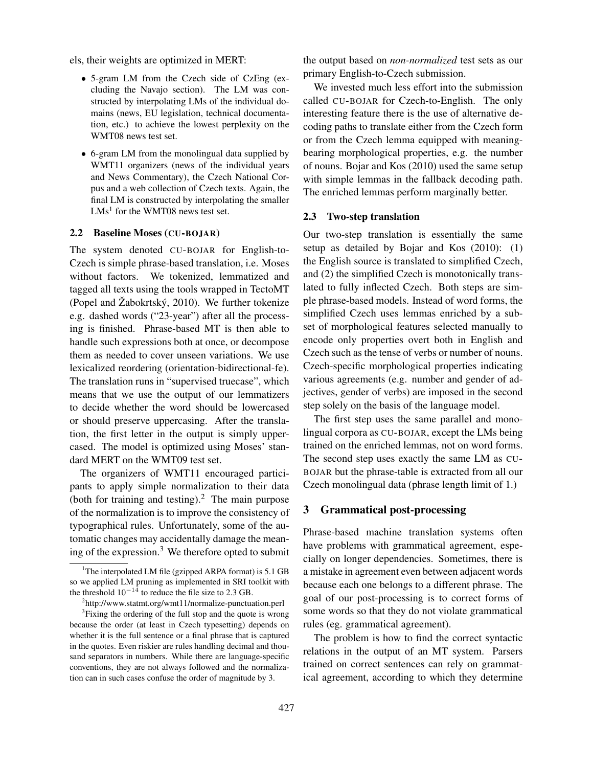els, their weights are optimized in MERT:

- 5-gram LM from the Czech side of CzEng (excluding the Navajo section). The LM was constructed by interpolating LMs of the individual domains (news, EU legislation, technical documentation, etc.) to achieve the lowest perplexity on the WMT08 news test set.
- 6-gram LM from the monolingual data supplied by WMT11 organizers (news of the individual years and News Commentary), the Czech National Corpus and a web collection of Czech texts. Again, the final LM is constructed by interpolating the smaller  $LMs<sup>1</sup>$  for the WMT08 news test set.

#### 2.2 Baseline Moses (CU-BOJAR)

The system denoted CU-BOJAR for English-to-Czech is simple phrase-based translation, i.e. Moses without factors. We tokenized, lemmatized and tagged all texts using the tools wrapped in TectoMT (Popel and Žabokrtský, 2010). We further tokenize e.g. dashed words ("23-year") after all the processing is finished. Phrase-based MT is then able to handle such expressions both at once, or decompose them as needed to cover unseen variations. We use lexicalized reordering (orientation-bidirectional-fe). The translation runs in "supervised truecase", which means that we use the output of our lemmatizers to decide whether the word should be lowercased or should preserve uppercasing. After the translation, the first letter in the output is simply uppercased. The model is optimized using Moses' standard MERT on the WMT09 test set.

The organizers of WMT11 encouraged participants to apply simple normalization to their data (both for training and testing). $^2$  The main purpose of the normalization is to improve the consistency of typographical rules. Unfortunately, some of the automatic changes may accidentally damage the meaning of the expression.<sup>3</sup> We therefore opted to submit the output based on *non-normalized* test sets as our primary English-to-Czech submission.

We invested much less effort into the submission called CU-BOJAR for Czech-to-English. The only interesting feature there is the use of alternative decoding paths to translate either from the Czech form or from the Czech lemma equipped with meaningbearing morphological properties, e.g. the number of nouns. Bojar and Kos (2010) used the same setup with simple lemmas in the fallback decoding path. The enriched lemmas perform marginally better.

#### 2.3 Two-step translation

Our two-step translation is essentially the same setup as detailed by Bojar and Kos (2010): (1) the English source is translated to simplified Czech, and (2) the simplified Czech is monotonically translated to fully inflected Czech. Both steps are simple phrase-based models. Instead of word forms, the simplified Czech uses lemmas enriched by a subset of morphological features selected manually to encode only properties overt both in English and Czech such as the tense of verbs or number of nouns. Czech-specific morphological properties indicating various agreements (e.g. number and gender of adjectives, gender of verbs) are imposed in the second step solely on the basis of the language model.

The first step uses the same parallel and monolingual corpora as CU-BOJAR, except the LMs being trained on the enriched lemmas, not on word forms. The second step uses exactly the same LM as CU-BOJAR but the phrase-table is extracted from all our Czech monolingual data (phrase length limit of 1.)

### 3 Grammatical post-processing

Phrase-based machine translation systems often have problems with grammatical agreement, especially on longer dependencies. Sometimes, there is a mistake in agreement even between adjacent words because each one belongs to a different phrase. The goal of our post-processing is to correct forms of some words so that they do not violate grammatical rules (eg. grammatical agreement).

The problem is how to find the correct syntactic relations in the output of an MT system. Parsers trained on correct sentences can rely on grammatical agreement, according to which they determine

<sup>&</sup>lt;sup>1</sup>The interpolated LM file (gzipped ARPA format) is  $5.1$  GB so we applied LM pruning as implemented in SRI toolkit with the threshold  $10^{-14}$  to reduce the file size to 2.3 GB.

<sup>&</sup>lt;sup>2</sup>http://www.statmt.org/wmt11/normalize-punctuation.perl

<sup>&</sup>lt;sup>3</sup> Fixing the ordering of the full stop and the quote is wrong because the order (at least in Czech typesetting) depends on whether it is the full sentence or a final phrase that is captured in the quotes. Even riskier are rules handling decimal and thousand separators in numbers. While there are language-specific conventions, they are not always followed and the normalization can in such cases confuse the order of magnitude by 3.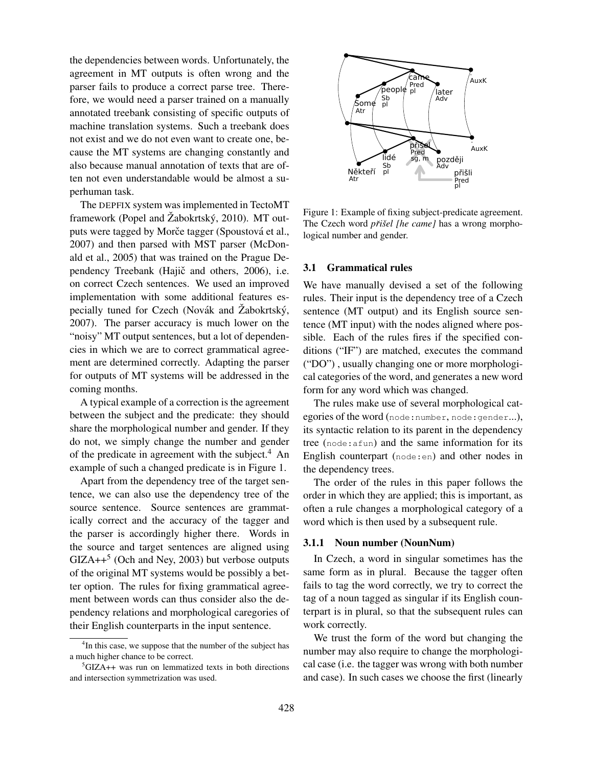the dependencies between words. Unfortunately, the agreement in MT outputs is often wrong and the parser fails to produce a correct parse tree. Therefore, we would need a parser trained on a manually annotated treebank consisting of specific outputs of machine translation systems. Such a treebank does not exist and we do not even want to create one, because the MT systems are changing constantly and also because manual annotation of texts that are often not even understandable would be almost a superhuman task.

The DEPFIX system was implemented in TectoMT framework (Popel and Žabokrtský, 2010). MT outputs were tagged by Morče tagger (Spoustová et al., 2007) and then parsed with MST parser (McDonald et al., 2005) that was trained on the Prague Dependency Treebank (Hajič and others, 2006), i.e. on correct Czech sentences. We used an improved implementation with some additional features especially tuned for Czech (Novák and  $\ddot{Z}$ abokrtský, 2007). The parser accuracy is much lower on the "noisy" MT output sentences, but a lot of dependencies in which we are to correct grammatical agreement are determined correctly. Adapting the parser for outputs of MT systems will be addressed in the coming months.

A typical example of a correction is the agreement between the subject and the predicate: they should share the morphological number and gender. If they do not, we simply change the number and gender of the predicate in agreement with the subject.<sup>4</sup> An example of such a changed predicate is in Figure 1.

Apart from the dependency tree of the target sentence, we can also use the dependency tree of the source sentence. Source sentences are grammatically correct and the accuracy of the tagger and the parser is accordingly higher there. Words in the source and target sentences are aligned using  $GIZA++<sup>5</sup>$  (Och and Ney, 2003) but verbose outputs of the original MT systems would be possibly a better option. The rules for fixing grammatical agreement between words can thus consider also the dependency relations and morphological caregories of their English counterparts in the input sentence.



Figure 1: Example of fixing subject-predicate agreement. The Czech word *přišel [he came]* has a wrong morphological number and gender.

#### 3.1 Grammatical rules

We have manually devised a set of the following rules. Their input is the dependency tree of a Czech sentence (MT output) and its English source sentence (MT input) with the nodes aligned where possible. Each of the rules fires if the specified conditions ("IF") are matched, executes the command ("DO") , usually changing one or more morphological categories of the word, and generates a new word form for any word which was changed.

The rules make use of several morphological categories of the word (node: number, node: gender...), its syntactic relation to its parent in the dependency tree (node:afun) and the same information for its English counterpart (node:en) and other nodes in the dependency trees.

The order of the rules in this paper follows the order in which they are applied; this is important, as often a rule changes a morphological category of a word which is then used by a subsequent rule.

### 3.1.1 Noun number (NounNum)

In Czech, a word in singular sometimes has the same form as in plural. Because the tagger often fails to tag the word correctly, we try to correct the tag of a noun tagged as singular if its English counterpart is in plural, so that the subsequent rules can work correctly.

We trust the form of the word but changing the number may also require to change the morphological case (i.e. the tagger was wrong with both number and case). In such cases we choose the first (linearly

<sup>&</sup>lt;sup>4</sup>In this case, we suppose that the number of the subject has a much higher chance to be correct.

 ${}^{5}$ GIZA++ was run on lemmatized texts in both directions and intersection symmetrization was used.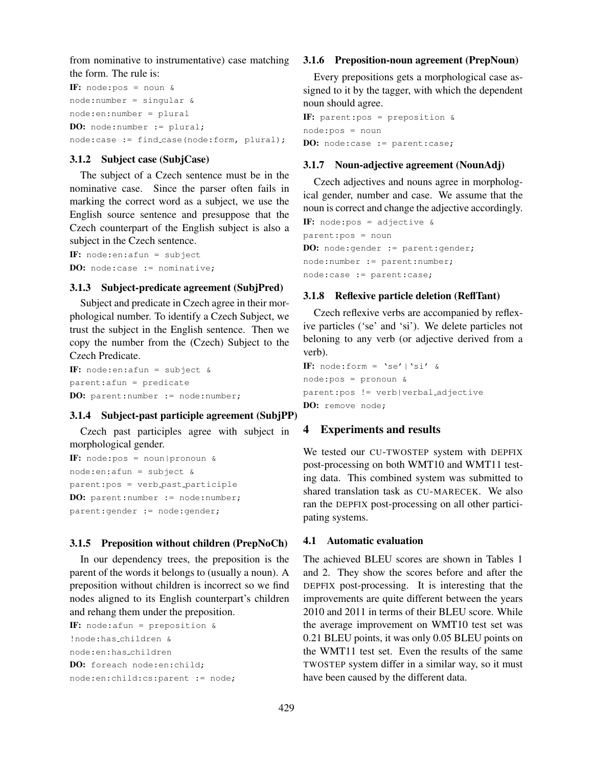from nominative to instrumentative) case matching the form. The rule is:

IF: node:pos = noun & node:number = singular & node:en:number = plural DO: node:number := plural; node:case := find\_case(node:form, plural);

# 3.1.2 Subject case (SubjCase)

The subject of a Czech sentence must be in the nominative case. Since the parser often fails in marking the correct word as a subject, we use the English source sentence and presuppose that the Czech counterpart of the English subject is also a subject in the Czech sentence.

IF: node:en:afun = subject DO: node:case := nominative;

# 3.1.3 Subject-predicate agreement (SubjPred)

Subject and predicate in Czech agree in their morphological number. To identify a Czech Subject, we trust the subject in the English sentence. Then we copy the number from the (Czech) Subject to the Czech Predicate.

IF: node:en:afun = subject & parent:afun = predicate DO: parent:number := node:number;

### 3.1.4 Subject-past participle agreement (SubjPP)

Czech past participles agree with subject in morphological gender.

```
IF: node:pos = noun|pronoun &
node:en:afun = subject &
parent:pos = verb past participle
DO: parent:number := node:number;
parent:gender := node:gender;
```
### 3.1.5 Preposition without children (PrepNoCh)

In our dependency trees, the preposition is the parent of the words it belongs to (usually a noun). A preposition without children is incorrect so we find nodes aligned to its English counterpart's children and rehang them under the preposition.

```
IF: node: afun = preposition \&!node:has children &
node:en:has children
DO: foreach node:en:child;
node:en:child:cs:parent := node;
```
# 3.1.6 Preposition-noun agreement (PrepNoun)

Every prepositions gets a morphological case assigned to it by the tagger, with which the dependent noun should agree.

```
IF: parent:pos = preposition &
node:pos = noun
DO: node:case := parent:case;
```
# 3.1.7 Noun-adjective agreement (NounAdj)

Czech adjectives and nouns agree in morphological gender, number and case. We assume that the noun is correct and change the adjective accordingly.

```
IF: node:pos = adjective \&parent:pos = noun
DO: node:gender := parent:gender;
node:number := parent:number;
node:case := parent:case;
```
# 3.1.8 Reflexive particle deletion (ReflTant)

Czech reflexive verbs are accompanied by reflexive particles ('se' and 'si'). We delete particles not beloning to any verb (or adjective derived from a verb).

IF: node:form =  $\text{'se'}$  |  $\text{'si'}$  & node:pos = pronoun & parent:pos != verb|verbal adjective DO: remove node;

#### 4 Experiments and results

We tested our CU-TWOSTEP system with DEPFIX post-processing on both WMT10 and WMT11 testing data. This combined system was submitted to shared translation task as CU-MARECEK. We also ran the DEPFIX post-processing on all other participating systems.

# 4.1 Automatic evaluation

The achieved BLEU scores are shown in Tables 1 and 2. They show the scores before and after the DEPFIX post-processing. It is interesting that the improvements are quite different between the years 2010 and 2011 in terms of their BLEU score. While the average improvement on WMT10 test set was 0.21 BLEU points, it was only 0.05 BLEU points on the WMT11 test set. Even the results of the same TWOSTEP system differ in a similar way, so it must have been caused by the different data.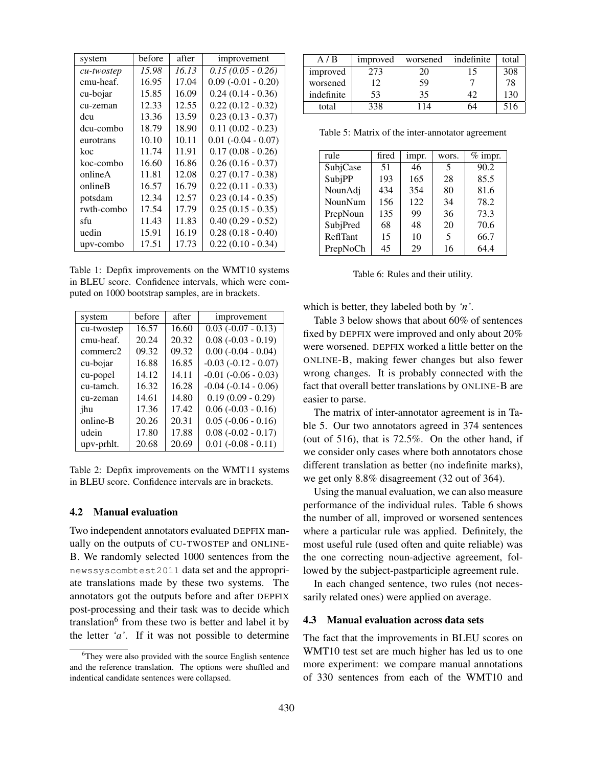| system     | before | after | improvement           |
|------------|--------|-------|-----------------------|
| cu-twostep | 15.98  | 16.13 | $0.15(0.05 - 0.26)$   |
| cmu-heaf.  | 16.95  | 17.04 | $0.09(-0.01 - 0.20)$  |
| cu-bojar   | 15.85  | 16.09 | $0.24(0.14 - 0.36)$   |
| cu-zeman   | 12.33  | 12.55 | $0.22(0.12 - 0.32)$   |
| dcu        | 13.36  | 13.59 | $0.23(0.13 - 0.37)$   |
| dcu-combo  | 18.79  | 18.90 | $0.11(0.02 - 0.23)$   |
| eurotrans  | 10.10  | 10.11 | $0.01 (-0.04 - 0.07)$ |
| koc        | 11.74  | 11.91 | $0.17(0.08 - 0.26)$   |
| koc-combo  | 16.60  | 16.86 | $0.26(0.16 - 0.37)$   |
| onlineA    | 11.81  | 12.08 | $0.27(0.17 - 0.38)$   |
| onlineB    | 16.57  | 16.79 | $0.22(0.11 - 0.33)$   |
| potsdam    | 12.34  | 12.57 | $0.23(0.14 - 0.35)$   |
| rwth-combo | 17.54  | 17.79 | $0.25(0.15 - 0.35)$   |
| sfu        | 11.43  | 11.83 | $0.40(0.29 - 0.52)$   |
| uedin      | 15.91  | 16.19 | $0.28(0.18 - 0.40)$   |
| upv-combo  | 17.51  | 17.73 | $0.22(0.10 - 0.34)$   |

Table 1: Depfix improvements on the WMT10 systems in BLEU score. Confidence intervals, which were computed on 1000 bootstrap samples, are in brackets.

| system     | before | after | improvement              |
|------------|--------|-------|--------------------------|
| cu-twostep | 16.57  | 16.60 | $0.03 (-0.07 - 0.13)$    |
| cmu-heaf.  | 20.24  | 20.32 | $0.08 (-0.03 - 0.19)$    |
| commerc2   | 09.32  | 09.32 | $0.00 (-0.04 - 0.04)$    |
| cu-bojar   | 16.88  | 16.85 | $-0.03$ $(-0.12 - 0.07)$ |
| cu-popel   | 14.12  | 14.11 | $-0.01$ $(-0.06 - 0.03)$ |
| cu-tamch.  | 16.32  | 16.28 | $-0.04$ $(-0.14 - 0.06)$ |
| cu-zeman   | 14.61  | 14.80 | $0.19(0.09 - 0.29)$      |
| jhu        | 17.36  | 17.42 | $0.06 (-0.03 - 0.16)$    |
| online-B   | 20.26  | 20.31 | $0.05 (-0.06 - 0.16)$    |
| udein      | 17.80  | 17.88 | $0.08(-0.02 - 0.17)$     |
| upv-prhlt. | 20.68  | 20.69 | $0.01 (-0.08 - 0.11)$    |

Table 2: Depfix improvements on the WMT11 systems in BLEU score. Confidence intervals are in brackets.

#### 4.2 Manual evaluation

Two independent annotators evaluated DEPFIX manually on the outputs of CU-TWOSTEP and ONLINE-B. We randomly selected 1000 sentences from the newssyscombtest2011 data set and the appropriate translations made by these two systems. The annotators got the outputs before and after DEPFIX post-processing and their task was to decide which translation<sup>6</sup> from these two is better and label it by the letter *'a'*. If it was not possible to determine

| A/B        | improved | worsened | indefinite | total |
|------------|----------|----------|------------|-------|
| improved   | 273      | 20       |            | 308   |
| worsened   | 12       | 59       |            | 78    |
| indefinite | 53       | 35       |            | 130   |
| total      | 338      |          |            | 516   |

Table 5: Matrix of the inter-annotator agreement

| rule           | fired | impr. | wors. | $%$ impr. |
|----------------|-------|-------|-------|-----------|
| SubjCase       | 51    | 46    | 5     | 90.2      |
| SubjPP         | 193   | 165   | 28    | 85.5      |
| NounAdj        | 434   | 354   | 80    | 81.6      |
| <b>NounNum</b> | 156   | 122   | 34    | 78.2      |
| PrepNoun       | 135   | 99    | 36    | 73.3      |
| SubjPred       | 68    | 48    | 20    | 70.6      |
| ReflTant       | 15    | 10    | 5     | 66.7      |
| PrepNoCh       | 45    | 29    | 16    | 64.4      |

Table 6: Rules and their utility.

which is better, they labeled both by *'n'*.

Table 3 below shows that about 60% of sentences fixed by DEPFIX were improved and only about 20% were worsened. DEPFIX worked a little better on the ONLINE-B, making fewer changes but also fewer wrong changes. It is probably connected with the fact that overall better translations by ONLINE-B are easier to parse.

The matrix of inter-annotator agreement is in Table 5. Our two annotators agreed in 374 sentences (out of 516), that is 72.5%. On the other hand, if we consider only cases where both annotators chose different translation as better (no indefinite marks), we get only 8.8% disagreement (32 out of 364).

Using the manual evaluation, we can also measure performance of the individual rules. Table 6 shows the number of all, improved or worsened sentences where a particular rule was applied. Definitely, the most useful rule (used often and quite reliable) was the one correcting noun-adjective agreement, followed by the subject-pastparticiple agreement rule.

In each changed sentence, two rules (not necessarily related ones) were applied on average.

#### 4.3 Manual evaluation across data sets

The fact that the improvements in BLEU scores on WMT10 test set are much higher has led us to one more experiment: we compare manual annotations of 330 sentences from each of the WMT10 and

<sup>&</sup>lt;sup>6</sup>They were also provided with the source English sentence and the reference translation. The options were shuffled and indentical candidate sentences were collapsed.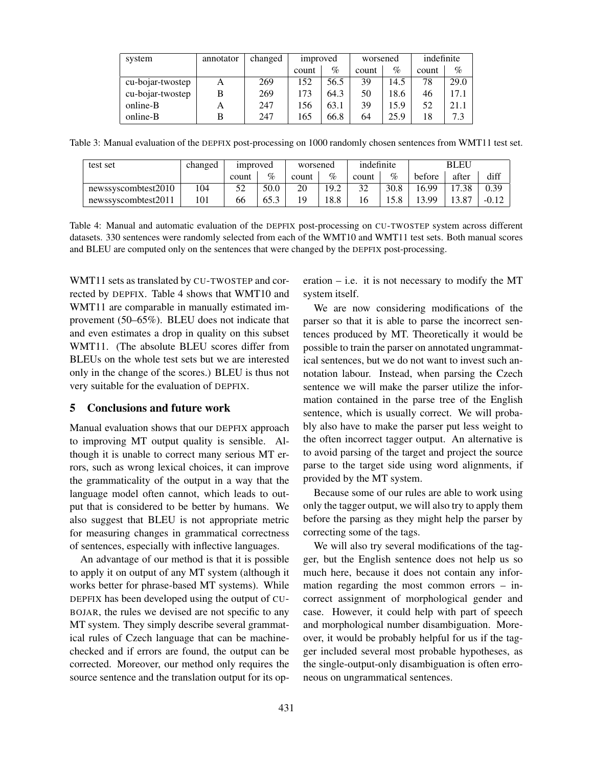| system           | annotator | changed | improved |      | worsened |      | indefinite |      |
|------------------|-----------|---------|----------|------|----------|------|------------|------|
|                  |           |         | count    | $\%$ | count    | $\%$ | count      | $\%$ |
| cu-bojar-twostep | А         | 269     | 152      | 56.5 | 39       | 14.5 | 78         | 29.0 |
| cu-bojar-twostep | B         | 269     | 173      | 64.3 | 50       | 18.6 | 46         | 17.1 |
| online-B         | A         | 247     | 156      | 63.1 | 39       | 15.9 | 52         | 21.1 |
| online-B         | в         | 247     | 165      | 66.8 | 64       | 25.9 | 18         | 7.3  |

Table 3: Manual evaluation of the DEPFIX post-processing on 1000 randomly chosen sentences from WMT11 test set.

| test set            | changed | <i>s improved</i> |      | worsened |      | indefinite |      | <b>BLEU</b> |       |         |
|---------------------|---------|-------------------|------|----------|------|------------|------|-------------|-------|---------|
|                     |         | count             | $\%$ | count    | $\%$ | count      | $\%$ | before      | after | diff    |
| newssyscombtest2010 | 104     | 52                | 50.0 | 20       | 19.2 | 32         | 30.8 | 6.99        | 17.38 | 0.39    |
| newssyscombtest2011 | 101     | 66                | 65.3 | 19       | 8.8  |            |      | 13.99       | 13.87 | $-0.12$ |

Table 4: Manual and automatic evaluation of the DEPFIX post-processing on CU-TWOSTEP system across different datasets. 330 sentences were randomly selected from each of the WMT10 and WMT11 test sets. Both manual scores and BLEU are computed only on the sentences that were changed by the DEPFIX post-processing.

WMT11 sets as translated by CU-TWOSTEP and corrected by DEPFIX. Table 4 shows that WMT10 and WMT11 are comparable in manually estimated improvement (50–65%). BLEU does not indicate that and even estimates a drop in quality on this subset WMT11. (The absolute BLEU scores differ from BLEUs on the whole test sets but we are interested only in the change of the scores.) BLEU is thus not very suitable for the evaluation of DEPFIX.

#### 5 Conclusions and future work

Manual evaluation shows that our DEPFIX approach to improving MT output quality is sensible. Although it is unable to correct many serious MT errors, such as wrong lexical choices, it can improve the grammaticality of the output in a way that the language model often cannot, which leads to output that is considered to be better by humans. We also suggest that BLEU is not appropriate metric for measuring changes in grammatical correctness of sentences, especially with inflective languages.

An advantage of our method is that it is possible to apply it on output of any MT system (although it works better for phrase-based MT systems). While DEPFIX has been developed using the output of CU-BOJAR, the rules we devised are not specific to any MT system. They simply describe several grammatical rules of Czech language that can be machinechecked and if errors are found, the output can be corrected. Moreover, our method only requires the source sentence and the translation output for its operation  $-$  i.e. it is not necessary to modify the MT system itself.

We are now considering modifications of the parser so that it is able to parse the incorrect sentences produced by MT. Theoretically it would be possible to train the parser on annotated ungrammatical sentences, but we do not want to invest such annotation labour. Instead, when parsing the Czech sentence we will make the parser utilize the information contained in the parse tree of the English sentence, which is usually correct. We will probably also have to make the parser put less weight to the often incorrect tagger output. An alternative is to avoid parsing of the target and project the source parse to the target side using word alignments, if provided by the MT system.

Because some of our rules are able to work using only the tagger output, we will also try to apply them before the parsing as they might help the parser by correcting some of the tags.

We will also try several modifications of the tagger, but the English sentence does not help us so much here, because it does not contain any information regarding the most common errors – incorrect assignment of morphological gender and case. However, it could help with part of speech and morphological number disambiguation. Moreover, it would be probably helpful for us if the tagger included several most probable hypotheses, as the single-output-only disambiguation is often erroneous on ungrammatical sentences.